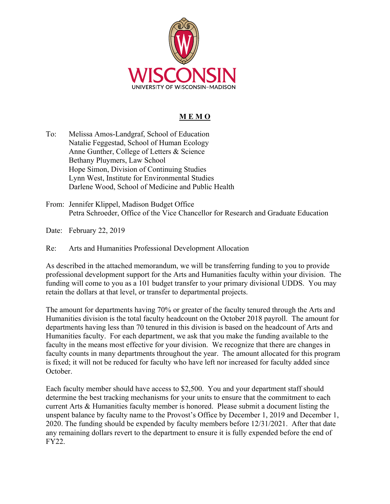

## **M E M O**

To: Melissa Amos-Landgraf, School of Education Natalie Feggestad, School of Human Ecology Anne Gunther, College of Letters & Science Bethany Pluymers, Law School Hope Simon, Division of Continuing Studies Lynn West, Institute for Environmental Studies Darlene Wood, School of Medicine and Public Health

From: Jennifer Klippel, Madison Budget Office Petra Schroeder, Office of the Vice Chancellor for Research and Graduate Education

Date: February 22, 2019

Re: Arts and Humanities Professional Development Allocation

As described in the attached memorandum, we will be transferring funding to you to provide professional development support for the Arts and Humanities faculty within your division. The funding will come to you as a 101 budget transfer to your primary divisional UDDS. You may retain the dollars at that level, or transfer to departmental projects.

The amount for departments having 70% or greater of the faculty tenured through the Arts and Humanities division is the total faculty headcount on the October 2018 payroll. The amount for departments having less than 70 tenured in this division is based on the headcount of Arts and Humanities faculty. For each department, we ask that you make the funding available to the faculty in the means most effective for your division. We recognize that there are changes in faculty counts in many departments throughout the year. The amount allocated for this program is fixed; it will not be reduced for faculty who have left nor increased for faculty added since October.

Each faculty member should have access to \$2,500. You and your department staff should determine the best tracking mechanisms for your units to ensure that the commitment to each current Arts & Humanities faculty member is honored. Please submit a document listing the unspent balance by faculty name to the Provost's Office by December 1, 2019 and December 1, 2020. The funding should be expended by faculty members before 12/31/2021. After that date any remaining dollars revert to the department to ensure it is fully expended before the end of FY22.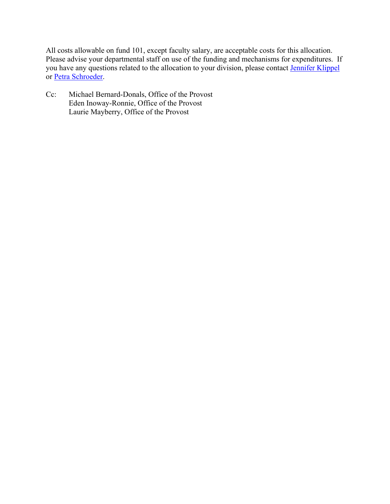All costs allowable on fund 101, except faculty salary, are acceptable costs for this allocation. Please advise your departmental staff on use of the funding and mechanisms for expenditures. If you have any questions related to the allocation to your division, please contact Jennifer Klippel or Petra Schroeder.

Cc: Michael Bernard-Donals, Office of the Provost Eden Inoway-Ronnie, Office of the Provost Laurie Mayberry, Office of the Provost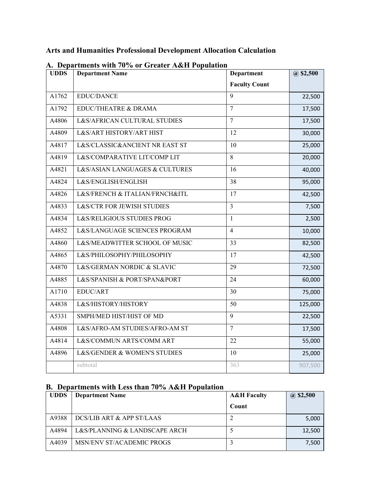## **Arts and Humanities Professional Development Allocation Calculation**

| <b>UDDS</b> | $A$ . Departments with 1070 or Greater Axert Fopulation<br><b>Department Name</b> | Department           | $(a)$ \$2,500 |
|-------------|-----------------------------------------------------------------------------------|----------------------|---------------|
|             |                                                                                   | <b>Faculty Count</b> |               |
| A1762       | <b>EDUC/DANCE</b>                                                                 | 9                    | 22,500        |
| A1792       | EDUC/THEATRE & DRAMA                                                              | $\overline{7}$       | 17,500        |
| A4806       | L&S/AFRICAN CULTURAL STUDIES                                                      | $\tau$               | 17,500        |
| A4809       | L&S/ART HISTORY/ART HIST                                                          | 12                   | 30,000        |
| A4817       | L&S/CLASSIC&ANCIENT NR EAST ST                                                    | 10                   | 25,000        |
| A4819       | L&S/COMPARATIVE LIT/COMP LIT                                                      | 8                    | 20,000        |
| A4821       | L&S/ASIAN LANGUAGES & CULTURES                                                    | 16                   | 40,000        |
| A4824       | L&S/ENGLISH/ENGLISH                                                               | 38                   | 95,000        |
| A4826       | L&S/FRENCH & ITALIAN/FRNCH&ITL                                                    | 17                   | 42,500        |
| A4833       | <b>L&amp;S/CTR FOR JEWISH STUDIES</b>                                             | $\mathfrak{Z}$       | 7,500         |
| A4834       | L&S/RELIGIOUS STUDIES PROG                                                        | $\mathbf{1}$         | 2,500         |
| A4852       | L&S/LANGUAGE SCIENCES PROGRAM                                                     | 4                    | 10,000        |
| A4860       | L&S/MEADWITTER SCHOOL OF MUSIC                                                    | 33                   | 82,500        |
| A4865       | L&S/PHILOSOPHY/PHILOSOPHY                                                         | 17                   | 42,500        |
| A4870       | L&S/GERMAN NORDIC & SLAVIC                                                        | 29                   | 72,500        |
| A4885       | L&S/SPANISH & PORT/SPAN&PORT                                                      | 24                   | 60,000        |
| A1710       | EDUC/ART                                                                          | 30                   | 75,000        |
| A4838       | L&S/HISTORY/HISTORY                                                               | 50                   | 125,000       |
| A5331       | SMPH/MED HIST/HIST OF MD                                                          | 9                    | 22,500        |
| A4808       | L&S/AFRO-AM STUDIES/AFRO-AM ST                                                    | $\overline{7}$       | 17,500        |
| A4814       | L&S/COMMUN ARTS/COMM ART                                                          | 22                   | 55,000        |
| A4896       | L&S/GENDER & WOMEN'S STUDIES                                                      | 10                   | 25,000        |
|             | subtotal                                                                          | 363                  | 907,500       |

## **A. Departments with 70% or Greater A&H Population**

## **B. Departments with Less than 70% A&H Population**

| <b>UDDS</b> | <b>Department Name</b>        | <b>A&amp;H</b> Faculty | $(a)$ \$2,500 |  |
|-------------|-------------------------------|------------------------|---------------|--|
|             |                               | Count                  |               |  |
| A9388       | DCS/LIB ART & APP ST/LAAS     |                        | 5,000         |  |
| A4894       | L&S/PLANNING & LANDSCAPE ARCH |                        | 12,500        |  |
| A4039       | MSN/ENV ST/ACADEMIC PROGS     |                        | 7,500         |  |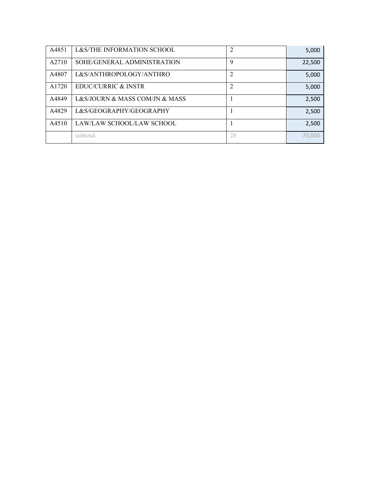| A4851 | L&S/THE INFORMATION SCHOOL     | 2  | 5,000  |
|-------|--------------------------------|----|--------|
| A2710 | SOHE/GENERAL ADMINISTRATION    | 9  | 22,500 |
| A4807 | L&S/ANTHROPOLOGY/ANTHRO        | 2  | 5,000  |
| A1720 | EDUC/CURRIC & INSTR            |    | 5,000  |
| A4849 | L&S/JOURN & MASS COM/JN & MASS |    | 2,500  |
| A4829 | L&S/GEOGRAPHY/GEOGRAPHY        |    | 2,500  |
| A4510 | LAW/LAW SCHOOL/LAW SCHOOL      |    | 2,500  |
|       | subtotal                       | 28 | 70,000 |